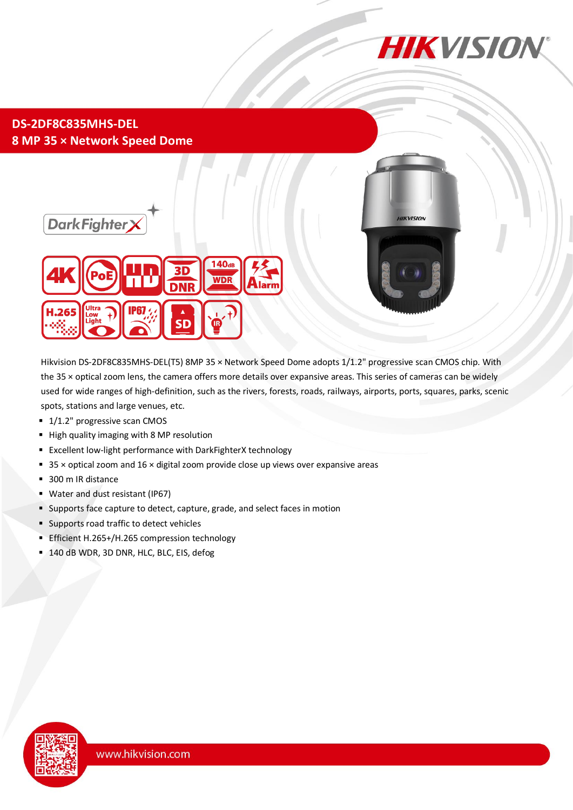

### **DS-2DF8C835MHS-DEL 8 MP 35 × Network Speed Dome**





Hikvision DS-2DF8C835MHS-DEL(T5) 8MP 35 × Network Speed Dome adopts 1/1.2" progressive scan CMOS chip. With the 35 × optical zoom lens, the camera offers more details over expansive areas. This series of cameras can be widely used for wide ranges of high-definition, such as the rivers, forests, roads, railways, airports, ports, squares, parks, scenic spots, stations and large venues, etc.

- 1/1.2" progressive scan CMOS
- High quality imaging with 8 MP resolution
- Excellent low-light performance with DarkFighterX technology
- $\approx$  35  $\times$  optical zoom and 16  $\times$  digital zoom provide close up views over expansive areas
- 300 m IR distance
- Water and dust resistant (IP67)
- Supports face capture to detect, capture, grade, and select faces in motion
- Supports road traffic to detect vehicles
- **Efficient H.265+/H.265 compression technology**
- 140 dB WDR, 3D DNR, HLC, BLC, EIS, defog

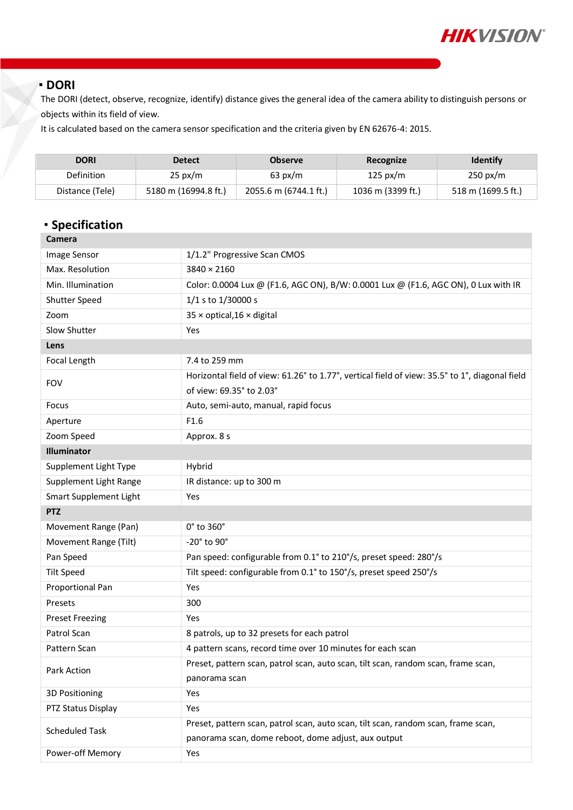

#### **DORI**

The DORI (detect, observe, recognize, identify) distance gives the general idea of the camera ability to distinguish persons or objects within its field of view.

It is calculated based on the camera sensor specification and the criteria given by EN 62676-4: 2015.

| <b>DORI</b>     | <b>Detect</b>        | <b>Observe</b>        | Recognize         | <b>Identify</b>    |
|-----------------|----------------------|-----------------------|-------------------|--------------------|
| Definition      | $25 \text{ px/m}$    | $63 \text{ px/m}$     | 125 px/m          | $250 \text{ px/m}$ |
| Distance (Tele) | 5180 m (16994.8 ft.) | 2055.6 m (6744.1 ft.) | 1036 m (3399 ft.) | 518 m (1699.5 ft.) |

## **Specification**

| Camera                 |                                                                                                |
|------------------------|------------------------------------------------------------------------------------------------|
| <b>Image Sensor</b>    | 1/1.2" Progressive Scan CMOS                                                                   |
| Max. Resolution        | $3840 \times 2160$                                                                             |
| Min. Illumination      | Color: 0.0004 Lux @ (F1.6, AGC ON), B/W: 0.0001 Lux @ (F1.6, AGC ON), 0 Lux with IR            |
| Shutter Speed          | 1/1 s to 1/30000 s                                                                             |
| Zoom                   | $35 \times$ optical, $16 \times$ digital                                                       |
| Slow Shutter           | Yes                                                                                            |
| Lens                   |                                                                                                |
| Focal Length           | 7.4 to 259 mm                                                                                  |
| <b>FOV</b>             | Horizontal field of view: 61.26° to 1.77°, vertical field of view: 35.5° to 1°, diagonal field |
|                        | of view: 69.35° to 2.03°                                                                       |
| Focus                  | Auto, semi-auto, manual, rapid focus                                                           |
| Aperture               | F1.6                                                                                           |
| Zoom Speed             | Approx. 8 s                                                                                    |
| Illuminator            |                                                                                                |
| Supplement Light Type  | Hybrid                                                                                         |
| Supplement Light Range | IR distance: up to 300 m                                                                       |
| Smart Supplement Light | Yes                                                                                            |
| <b>PTZ</b>             |                                                                                                |
| Movement Range (Pan)   | $0^\circ$ to 360 $^\circ$                                                                      |
| Movement Range (Tilt)  | -20° to 90°                                                                                    |
| Pan Speed              | Pan speed: configurable from 0.1° to 210°/s, preset speed: 280°/s                              |
| <b>Tilt Speed</b>      | Tilt speed: configurable from 0.1° to 150°/s, preset speed 250°/s                              |
| Proportional Pan       | Yes                                                                                            |
| Presets                | 300                                                                                            |
| <b>Preset Freezing</b> | Yes                                                                                            |
| Patrol Scan            | 8 patrols, up to 32 presets for each patrol                                                    |
| Pattern Scan           | 4 pattern scans, record time over 10 minutes for each scan                                     |
| Park Action            | Preset, pattern scan, patrol scan, auto scan, tilt scan, random scan, frame scan,              |
|                        | panorama scan                                                                                  |
| 3D Positioning         | Yes                                                                                            |
| PTZ Status Display     | Yes                                                                                            |
| <b>Scheduled Task</b>  | Preset, pattern scan, patrol scan, auto scan, tilt scan, random scan, frame scan,              |
|                        | panorama scan, dome reboot, dome adjust, aux output                                            |
| Power-off Memory       | Yes                                                                                            |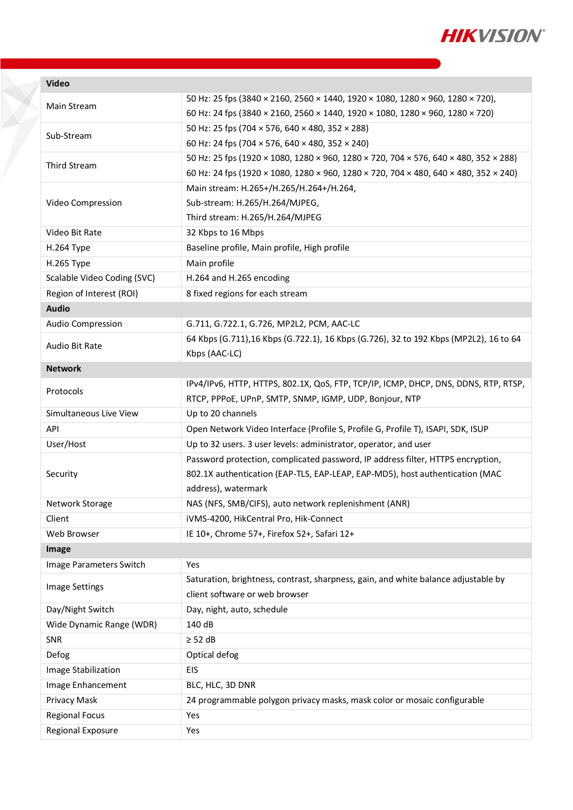

**Video**

T

| Main Stream                 | 50 Hz: 25 fps (3840 × 2160, 2560 × 1440, 1920 × 1080, 1280 × 960, 1280 × 720),<br>60 Hz: 24 fps (3840 × 2160, 2560 × 1440, 1920 × 1080, 1280 × 960, 1280 × 720) |  |
|-----------------------------|-----------------------------------------------------------------------------------------------------------------------------------------------------------------|--|
|                             | 50 Hz: 25 fps (704 × 576, 640 × 480, 352 × 288)                                                                                                                 |  |
| Sub-Stream                  | 60 Hz: 24 fps (704 × 576, 640 × 480, 352 × 240)                                                                                                                 |  |
| Third Stream                | 50 Hz: 25 fps (1920 × 1080, 1280 × 960, 1280 × 720, 704 × 576, 640 × 480, 352 × 288)                                                                            |  |
|                             | 60 Hz: 24 fps (1920 × 1080, 1280 × 960, 1280 × 720, 704 × 480, 640 × 480, 352 × 240)                                                                            |  |
|                             | Main stream: H.265+/H.265/H.264+/H.264,                                                                                                                         |  |
| Video Compression           | Sub-stream: H.265/H.264/MJPEG,                                                                                                                                  |  |
|                             | Third stream: H.265/H.264/MJPEG                                                                                                                                 |  |
| Video Bit Rate              | 32 Kbps to 16 Mbps                                                                                                                                              |  |
| H.264 Type                  | Baseline profile, Main profile, High profile                                                                                                                    |  |
| H.265 Type                  | Main profile                                                                                                                                                    |  |
| Scalable Video Coding (SVC) | H.264 and H.265 encoding                                                                                                                                        |  |
| Region of Interest (ROI)    | 8 fixed regions for each stream                                                                                                                                 |  |
| <b>Audio</b>                |                                                                                                                                                                 |  |
| <b>Audio Compression</b>    | G.711, G.722.1, G.726, MP2L2, PCM, AAC-LC                                                                                                                       |  |
|                             | 64 Kbps (G.711),16 Kbps (G.722.1), 16 Kbps (G.726), 32 to 192 Kbps (MP2L2), 16 to 64                                                                            |  |
| Audio Bit Rate              | Kbps (AAC-LC)                                                                                                                                                   |  |
| <b>Network</b>              |                                                                                                                                                                 |  |
| Protocols                   | IPv4/IPv6, HTTP, HTTPS, 802.1X, QoS, FTP, TCP/IP, ICMP, DHCP, DNS, DDNS, RTP, RTSP,                                                                             |  |
|                             | RTCP, PPPoE, UPnP, SMTP, SNMP, IGMP, UDP, Bonjour, NTP                                                                                                          |  |
| Simultaneous Live View      | Up to 20 channels                                                                                                                                               |  |
| API                         | Open Network Video Interface (Profile S, Profile G, Profile T), ISAPI, SDK, ISUP                                                                                |  |
| User/Host                   | Up to 32 users. 3 user levels: administrator, operator, and user                                                                                                |  |
|                             | Password protection, complicated password, IP address filter, HTTPS encryption,                                                                                 |  |
| Security                    | 802.1X authentication (EAP-TLS, EAP-LEAP, EAP-MD5), host authentication (MAC                                                                                    |  |
|                             | address), watermark                                                                                                                                             |  |
| Network Storage             | NAS (NFS, SMB/CIFS), auto network replenishment (ANR)                                                                                                           |  |
| Client                      | iVMS-4200, HikCentral Pro, Hik-Connect                                                                                                                          |  |
| Web Browser                 | IE 10+, Chrome 57+, Firefox 52+, Safari 12+                                                                                                                     |  |
| Image                       |                                                                                                                                                                 |  |
| Image Parameters Switch     | Yes                                                                                                                                                             |  |
| <b>Image Settings</b>       | Saturation, brightness, contrast, sharpness, gain, and white balance adjustable by                                                                              |  |
|                             | client software or web browser                                                                                                                                  |  |
| Day/Night Switch            | Day, night, auto, schedule                                                                                                                                      |  |
| Wide Dynamic Range (WDR)    | 140 dB                                                                                                                                                          |  |
| SNR                         | $\geq$ 52 dB                                                                                                                                                    |  |
| Defog                       | Optical defog                                                                                                                                                   |  |
| Image Stabilization         | EIS                                                                                                                                                             |  |
| Image Enhancement           | BLC, HLC, 3D DNR                                                                                                                                                |  |
| Privacy Mask                | 24 programmable polygon privacy masks, mask color or mosaic configurable                                                                                        |  |
| <b>Regional Focus</b>       | Yes                                                                                                                                                             |  |
| Regional Exposure           | Yes                                                                                                                                                             |  |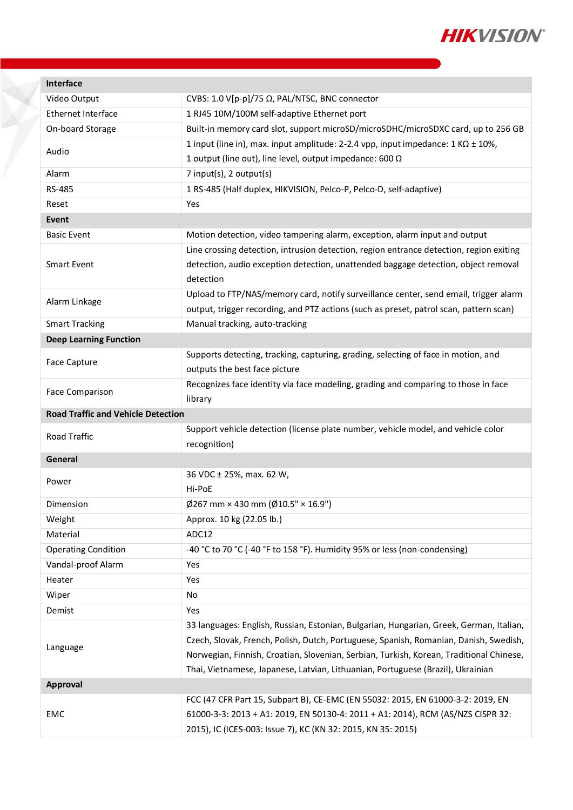

| <b>Interface</b>                          |                                                                                                                                                 |  |
|-------------------------------------------|-------------------------------------------------------------------------------------------------------------------------------------------------|--|
| Video Output                              | CVBS: 1.0 V[p-p]/75 Ω, PAL/NTSC, BNC connector                                                                                                  |  |
| Ethernet Interface                        | 1 RJ45 10M/100M self-adaptive Ethernet port                                                                                                     |  |
| On-board Storage                          | Built-in memory card slot, support microSD/microSDHC/microSDXC card, up to 256 GB                                                               |  |
| Audio                                     | 1 input (line in), max. input amplitude: 2-2.4 vpp, input impedance: $1 K\Omega \pm 10\%$ ,                                                     |  |
|                                           | 1 output (line out), line level, output impedance: 600 $\Omega$                                                                                 |  |
| Alarm                                     | 7 input(s), 2 output(s)                                                                                                                         |  |
| RS-485                                    | 1 RS-485 (Half duplex, HIKVISION, Pelco-P, Pelco-D, self-adaptive)                                                                              |  |
| Reset                                     | Yes                                                                                                                                             |  |
| Event                                     |                                                                                                                                                 |  |
| <b>Basic Event</b>                        | Motion detection, video tampering alarm, exception, alarm input and output                                                                      |  |
|                                           | Line crossing detection, intrusion detection, region entrance detection, region exiting                                                         |  |
| <b>Smart Event</b>                        | detection, audio exception detection, unattended baggage detection, object removal                                                              |  |
|                                           | detection                                                                                                                                       |  |
| Alarm Linkage                             | Upload to FTP/NAS/memory card, notify surveillance center, send email, trigger alarm                                                            |  |
|                                           | output, trigger recording, and PTZ actions (such as preset, patrol scan, pattern scan)                                                          |  |
| <b>Smart Tracking</b>                     | Manual tracking, auto-tracking                                                                                                                  |  |
| <b>Deep Learning Function</b>             |                                                                                                                                                 |  |
| Face Capture                              | Supports detecting, tracking, capturing, grading, selecting of face in motion, and                                                              |  |
|                                           | outputs the best face picture                                                                                                                   |  |
| Face Comparison                           | Recognizes face identity via face modeling, grading and comparing to those in face                                                              |  |
|                                           | library                                                                                                                                         |  |
| <b>Road Traffic and Vehicle Detection</b> |                                                                                                                                                 |  |
|                                           |                                                                                                                                                 |  |
|                                           | Support vehicle detection (license plate number, vehicle model, and vehicle color                                                               |  |
| Road Traffic                              | recognition)                                                                                                                                    |  |
| General                                   |                                                                                                                                                 |  |
|                                           | 36 VDC ± 25%, max. 62 W,                                                                                                                        |  |
| Power                                     | Hi-PoE                                                                                                                                          |  |
| Dimension                                 | $\emptyset$ 267 mm × 430 mm ( $\emptyset$ 10.5" × 16.9")                                                                                        |  |
| Weight                                    | Approx. 10 kg (22.05 lb.)                                                                                                                       |  |
| Material                                  | ADC12                                                                                                                                           |  |
| <b>Operating Condition</b>                | -40 °C to 70 °C (-40 °F to 158 °F). Humidity 95% or less (non-condensing)                                                                       |  |
| Vandal-proof Alarm                        | Yes                                                                                                                                             |  |
| Heater                                    | Yes                                                                                                                                             |  |
| Wiper                                     | No                                                                                                                                              |  |
| Demist                                    | Yes                                                                                                                                             |  |
|                                           | 33 languages: English, Russian, Estonian, Bulgarian, Hungarian, Greek, German, Italian,                                                         |  |
|                                           | Czech, Slovak, French, Polish, Dutch, Portuguese, Spanish, Romanian, Danish, Swedish,                                                           |  |
| Language                                  | Norwegian, Finnish, Croatian, Slovenian, Serbian, Turkish, Korean, Traditional Chinese,                                                         |  |
|                                           | Thai, Vietnamese, Japanese, Latvian, Lithuanian, Portuguese (Brazil), Ukrainian                                                                 |  |
| Approval                                  |                                                                                                                                                 |  |
|                                           | FCC (47 CFR Part 15, Subpart B), CE-EMC (EN 55032: 2015, EN 61000-3-2: 2019, EN                                                                 |  |
| EMC                                       | 61000-3-3: 2013 + A1: 2019, EN 50130-4: 2011 + A1: 2014), RCM (AS/NZS CISPR 32:<br>2015), IC (ICES-003: Issue 7), KC (KN 32: 2015, KN 35: 2015) |  |

X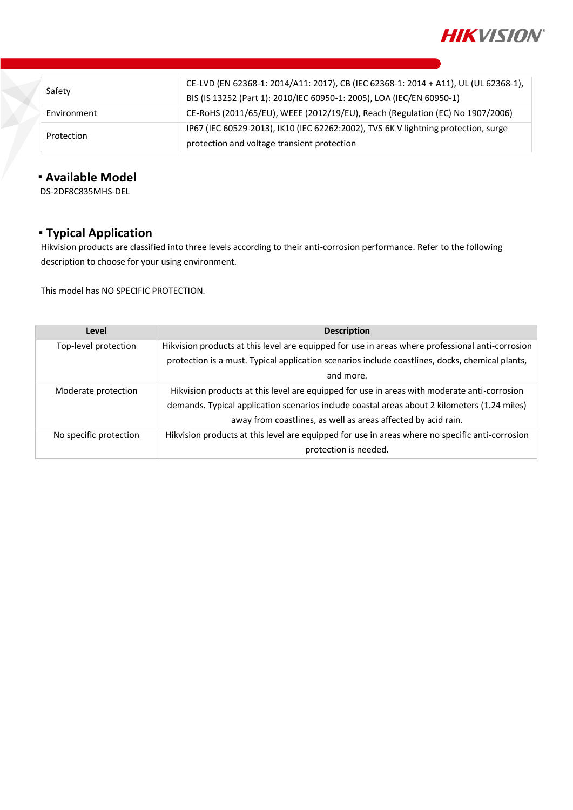

| Safety      | CE-LVD (EN 62368-1: 2014/A11: 2017), CB (IEC 62368-1: 2014 + A11), UL (UL 62368-1), |
|-------------|-------------------------------------------------------------------------------------|
|             | BIS (IS 13252 (Part 1): 2010/IEC 60950-1: 2005), LOA (IEC/EN 60950-1)               |
| Environment | CE-RoHS (2011/65/EU), WEEE (2012/19/EU), Reach (Regulation (EC) No 1907/2006)       |
| Protection  | IP67 (IEC 60529-2013), IK10 (IEC 62262:2002), TVS 6K V lightning protection, surge  |
|             | protection and voltage transient protection                                         |

#### **Available Model**

DS-2DF8C835MHS-DEL

# **Typical Application**

Hikvision products are classified into three levels according to their anti-corrosion performance. Refer to the following description to choose for your using environment.

This model has NO SPECIFIC PROTECTION.

| Level                  | <b>Description</b>                                                                               |
|------------------------|--------------------------------------------------------------------------------------------------|
| Top-level protection   | Hikvision products at this level are equipped for use in areas where professional anti-corrosion |
|                        | protection is a must. Typical application scenarios include coastlines, docks, chemical plants,  |
|                        | and more.                                                                                        |
| Moderate protection    | Hikvision products at this level are equipped for use in areas with moderate anti-corrosion      |
|                        | demands. Typical application scenarios include coastal areas about 2 kilometers (1.24 miles)     |
|                        | away from coastlines, as well as areas affected by acid rain.                                    |
| No specific protection | Hikvision products at this level are equipped for use in areas where no specific anti-corrosion  |
|                        | protection is needed.                                                                            |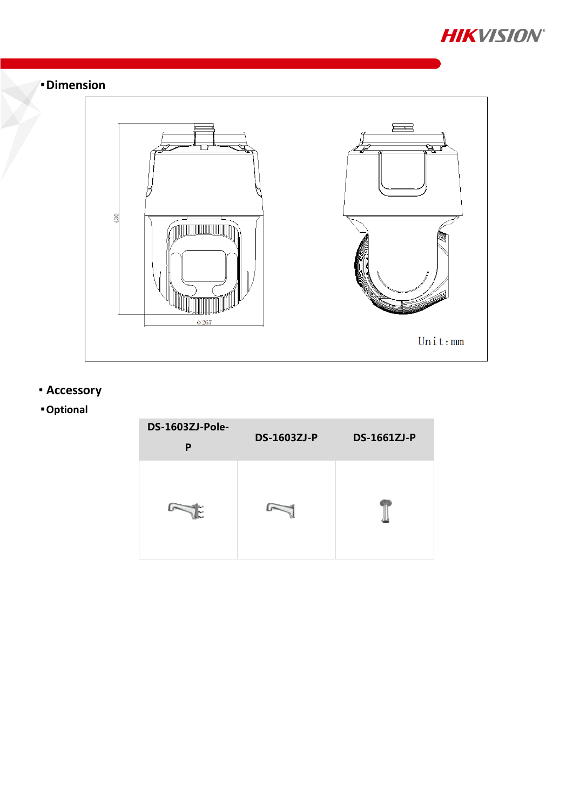



# **Accessory**

# **Optional**

| DS-1603ZJ-Pole-<br>P | <b>DS-1603ZJ-P</b> | <b>DS-1661ZJ-P</b> |
|----------------------|--------------------|--------------------|
| и                    |                    |                    |